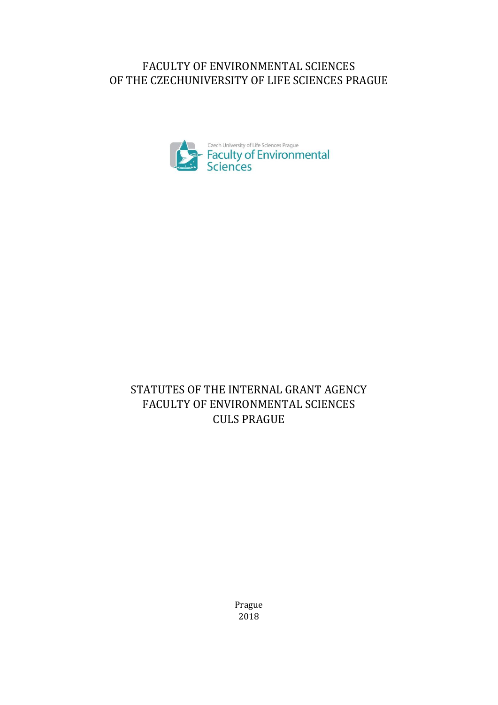# FACULTY OF ENVIRONMENTAL SCIENCES OF THE CZECHUNIVERSITY OF LIFE SCIENCES PRAGUE



# STATUTES OF THE INTERNAL GRANT AGENCY FACULTY OF ENVIRONMENTAL SCIENCES CULS PRAGUE

Prague 2018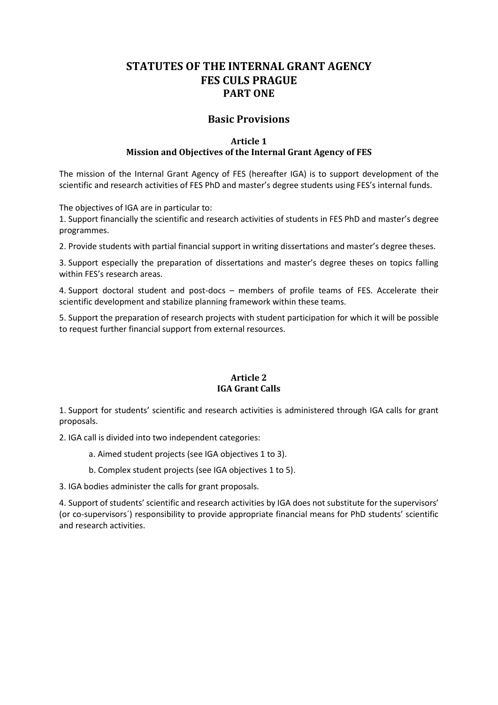# **STATUTES OF THE INTERNAL GRANT AGENCY FES CULS PRAGUE PART ONE**

# **Basic Provisions**

#### **Article 1 Mission and Objectives of the Internal Grant Agency of FES**

The mission of the Internal Grant Agency of FES (hereafter IGA) is to support development of the scientific and research activities of FES PhD and master's degree students using FES's internal funds.

The objectives of IGA are in particular to:

1. Support financially the scientific and research activities of students in FES PhD and master's degree programmes.

2. Provide students with partial financial support in writing dissertations and master's degree theses.

3. Support especially the preparation of dissertations and master's degree theses on topics falling within FES's research areas.

4. Support doctoral student and post-docs – members of profile teams of FES. Accelerate their scientific development and stabilize planning framework within these teams.

5. Support the preparation of research projects with student participation for which it will be possible to request further financial support from external resources.

#### **Article 2 IGA Grant Calls**

1. Support for students' scientific and research activities is administered through IGA calls for grant proposals.

2. IGA call is divided into two independent categories:

a. Aimed student projects (see IGA objectives 1 to 3).

b. Complex student projects (see IGA objectives 1 to 5).

3. IGA bodies administer the calls for grant proposals.

4. Support of students' scientific and research activities by IGA does not substitute for the supervisors' (or co-supervisors´) responsibility to provide appropriate financial means for PhD students' scientific and research activities.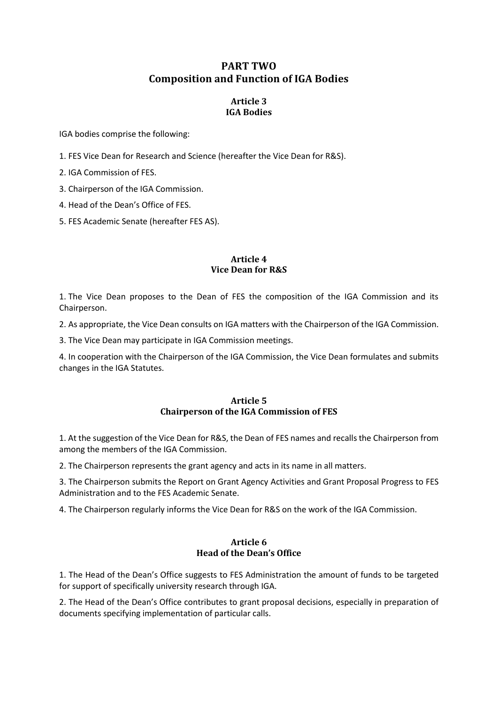# **PART TWO Composition and Function of IGA Bodies**

# **Article 3 IGA Bodies**

IGA bodies comprise the following:

- 1. FES Vice Dean for Research and Science (hereafter the Vice Dean for R&S).
- 2. IGA Commission of FES.
- 3. Chairperson of the IGA Commission.
- 4. Head of the Dean's Office of FES.
- 5. FES Academic Senate (hereafter FES AS).

#### **Article 4 Vice Dean for R&S**

1. The Vice Dean proposes to the Dean of FES the composition of the IGA Commission and its Chairperson.

2. As appropriate, the Vice Dean consults on IGA matters with the Chairperson of the IGA Commission.

3. The Vice Dean may participate in IGA Commission meetings.

4. In cooperation with the Chairperson of the IGA Commission, the Vice Dean formulates and submits changes in the IGA Statutes.

# **Article 5 Chairperson of the IGA Commission of FES**

1. At the suggestion of the Vice Dean for R&S, the Dean of FES names and recalls the Chairperson from among the members of the IGA Commission.

2. The Chairperson represents the grant agency and acts in its name in all matters.

3. The Chairperson submits the Report on Grant Agency Activities and Grant Proposal Progress to FES Administration and to the FES Academic Senate.

4. The Chairperson regularly informs the Vice Dean for R&S on the work of the IGA Commission.

# **Article 6 Head of the Dean's Office**

1. The Head of the Dean's Office suggests to FES Administration the amount of funds to be targeted for support of specifically university research through IGA.

2. The Head of the Dean's Office contributes to grant proposal decisions, especially in preparation of documents specifying implementation of particular calls.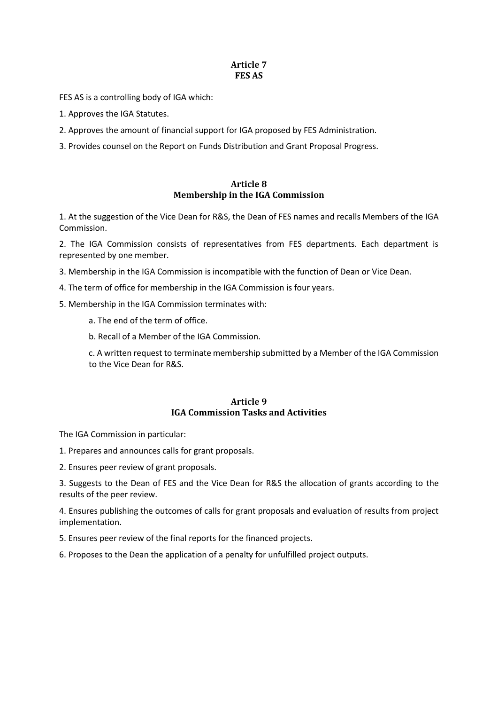# **Article 7 FES AS**

FES AS is a controlling body of IGA which:

- 1. Approves the IGA Statutes.
- 2. Approves the amount of financial support for IGA proposed by FES Administration.
- 3. Provides counsel on the Report on Funds Distribution and Grant Proposal Progress.

#### **Article 8 Membership in the IGA Commission**

1. At the suggestion of the Vice Dean for R&S, the Dean of FES names and recalls Members of the IGA Commission.

2. The IGA Commission consists of representatives from FES departments. Each department is represented by one member.

3. Membership in the IGA Commission is incompatible with the function of Dean or Vice Dean.

- 4. The term of office for membership in the IGA Commission is four years.
- 5. Membership in the IGA Commission terminates with:
	- a. The end of the term of office.
	- b. Recall of a Member of the IGA Commission.

c. A written request to terminate membership submitted by a Member of the IGA Commission to the Vice Dean for R&S.

#### **Article 9 IGA Commission Tasks and Activities**

The IGA Commission in particular:

1. Prepares and announces calls for grant proposals.

2. Ensures peer review of grant proposals.

3. Suggests to the Dean of FES and the Vice Dean for R&S the allocation of grants according to the results of the peer review.

4. Ensures publishing the outcomes of calls for grant proposals and evaluation of results from project implementation.

5. Ensures peer review of the final reports for the financed projects.

6. Proposes to the Dean the application of a penalty for unfulfilled project outputs.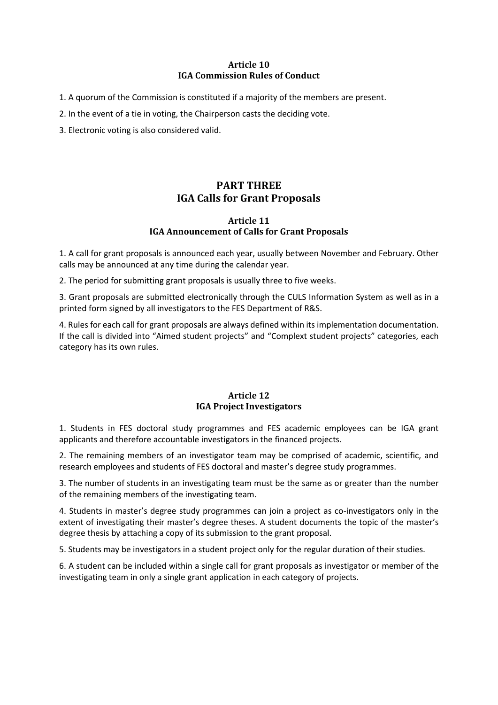### **Article 10 IGA Commission Rules of Conduct**

- 1. A quorum of the Commission is constituted if a majority of the members are present.
- 2. In the event of a tie in voting, the Chairperson casts the deciding vote.
- 3. Electronic voting is also considered valid.

# **PART THREE IGA Calls for Grant Proposals**

#### **Article 11 IGA Announcement of Calls for Grant Proposals**

1. A call for grant proposals is announced each year, usually between November and February. Other calls may be announced at any time during the calendar year.

2. The period for submitting grant proposals is usually three to five weeks.

3. Grant proposals are submitted electronically through the CULS Information System as well as in a printed form signed by all investigators to the FES Department of R&S.

4. Rules for each call for grant proposals are always defined within its implementation documentation. If the call is divided into "Aimed student projects" and "Complext student projects" categories, each category has its own rules.

# **Article 12 IGA Project Investigators**

1. Students in FES doctoral study programmes and FES academic employees can be IGA grant applicants and therefore accountable investigators in the financed projects.

2. The remaining members of an investigator team may be comprised of academic, scientific, and research employees and students of FES doctoral and master's degree study programmes.

3. The number of students in an investigating team must be the same as or greater than the number of the remaining members of the investigating team.

4. Students in master's degree study programmes can join a project as co-investigators only in the extent of investigating their master's degree theses. A student documents the topic of the master's degree thesis by attaching a copy of its submission to the grant proposal.

5. Students may be investigators in a student project only for the regular duration of their studies.

6. A student can be included within a single call for grant proposals as investigator or member of the investigating team in only a single grant application in each category of projects.